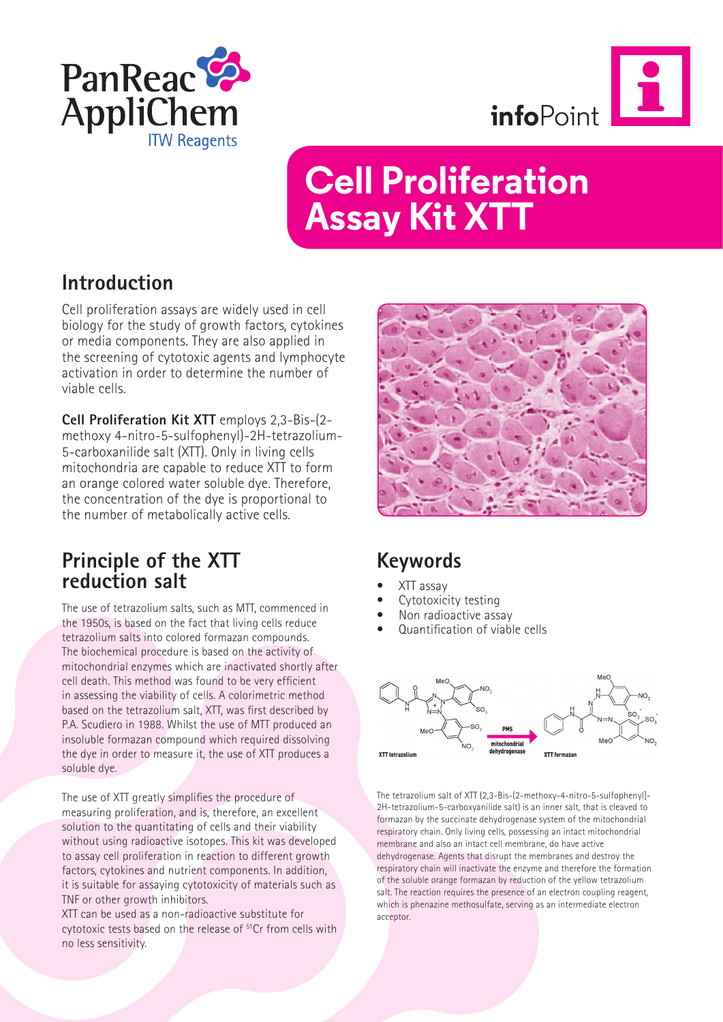



# **Cell Proliferation Assay Kit XTT**

### **Introduction**

Cell proliferation assays are widely used in cell biology for the study of growth factors, cytokines or media components. They are also applied in the screening of cytotoxic agents and lymphocyte activation in order to determine the number of viable cells.

**Cell Proliferation Kit XTT** employs 2,3-Bis-(2 methoxy 4-nitro-5-sulfophenyl)-2H-tetrazolium-5-carboxanilide salt (XTT). Only in living cells mitochondria are capable to reduce XTT to form an orange colored water soluble dye. Therefore, the concentration of the dye is proportional to the number of metabolically active cells.

### **Principle of the XTT reduction salt**

The use of tetrazolium salts, such as MTT, commenced in the 1950s, is based on the fact that living cells reduce tetrazolium salts into colored formazan compounds. The biochemical procedure is based on the activity of mitochondrial enzymes which are inactivated shortly after cell death. This method was found to be very efficient in assessing the viability of cells. A colorimetric method based on the tetrazolium salt, XTT, was first described by P.A. Scudiero in 1988. Whilst the use of MTT produced an insoluble formazan compound which required dissolving the dye in order to measure it, the use of XTT produces a soluble dye.

The use of XTT greatly simplifies the procedure of measuring proliferation, and is, therefore, an excellent solution to the quantitating of cells and their viability without using radioactive isotopes. This kit was developed to assay cell proliferation in reaction to different growth factors, cytokines and nutrient components. In addition, it is suitable for assaying cytotoxicity of materials such as TNF or other growth inhibitors.

XTT can be used as a non-radioactive substitute for cytotoxic tests based on the release of 51Cr from cells with no less sensitivity.



# **Keywords**

- XTT assay
- Cytotoxicity testing
- Non radioactive assay
- Quantification of viable cells



The tetrazolium salt of XTT (2,3-Bis-(2-methoxy-4-nitro-5-sulfophenyl]- 2H-tetrazolium-5-carboxyanilide salt) is an inner salt, that is cleaved to formazan by the succinate dehydrogenase system of the mitochondrial respiratory chain. Only living cells, possessing an intact mitochondrial membrane and also an intact cell membrane, do have active dehydrogenase. Agents that disrupt the membranes and destroy the respiratory chain will inactivate the enzyme and therefore the formation of the soluble orange formazan by reduction of the yellow tetrazolium salt. The reaction requires the presence of an electron coupling reagent, which is phenazine methosulfate, serving as an intermediate electron acceptor.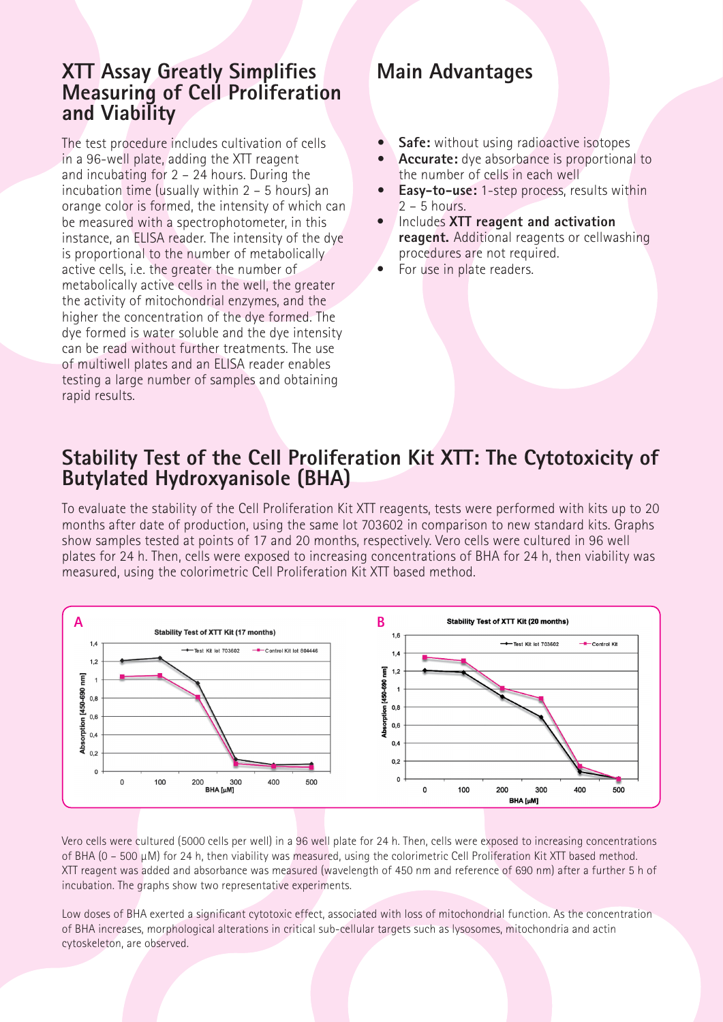#### **XTT Assay Greatly Simplifies Measuring of Cell Proliferation and Viability**

The test procedure includes cultivation of cells in a 96-well plate, adding the XTT reagent and incubating for 2 – 24 hours. During the incubation time (usually within 2 – 5 hours) an orange color is formed, the intensity of which can be measured with a spectrophotometer, in this instance, an ELISA reader. The intensity of the dye is proportional to the number of metabolically active cells, i.e. the greater the number of metabolically active cells in the well, the greater the activity of mitochondrial enzymes, and the higher the concentration of the dye formed. The dye formed is water soluble and the dye intensity can be read without further treatments. The use of multiwell plates and an ELISA reader enables testing a large number of samples and obtaining rapid results.

# **Main Advantages**

- **• Safe:** without using radioactive isotopes
- **• Accurate:** dye absorbance is proportional to the number of cells in each well
- **• Easy-to-use:** 1-step process, results within 2 – 5 hours.
- Includes **XTT reagent and activation reagent.** Additional reagents or cellwashing procedures are not required.
- For use in plate readers.

### **Stability Test of the Cell Proliferation Kit XTT: The Cytotoxicity of Butylated Hydroxyanisole (BHA)**

To evaluate the stability of the Cell Proliferation Kit XTT reagents, tests were performed with kits up to 20 months after date of production, using the same lot 703602 in comparison to new standard kits. Graphs show samples tested at points of 17 and 20 months, respectively. Vero cells were cultured in 96 well plates for 24 h. Then, cells were exposed to increasing concentrations of BHA for 24 h, then viability was measured, using the colorimetric Cell Proliferation Kit XTT based method.



Vero cells were cultured (5000 cells per well) in a 96 well plate for 24 h. Then, cells were exposed to increasing concentrations of BHA (0 – 500 µM) for 24 h, then viability was measured, using the colorimetric Cell Proliferation Kit XTT based method. XTT reagent was added and absorbance was measured (wavelength of 450 nm and reference of 690 nm) after a further 5 h of incubation. The graphs show two representative experiments.

Low doses of BHA exerted a significant cytotoxic effect, associated with loss of mitochondrial function. As the concentration of BHA increases, morphological alterations in critical sub-cellular targets such as lysosomes, mitochondria and actin cytoskeleton, are observed.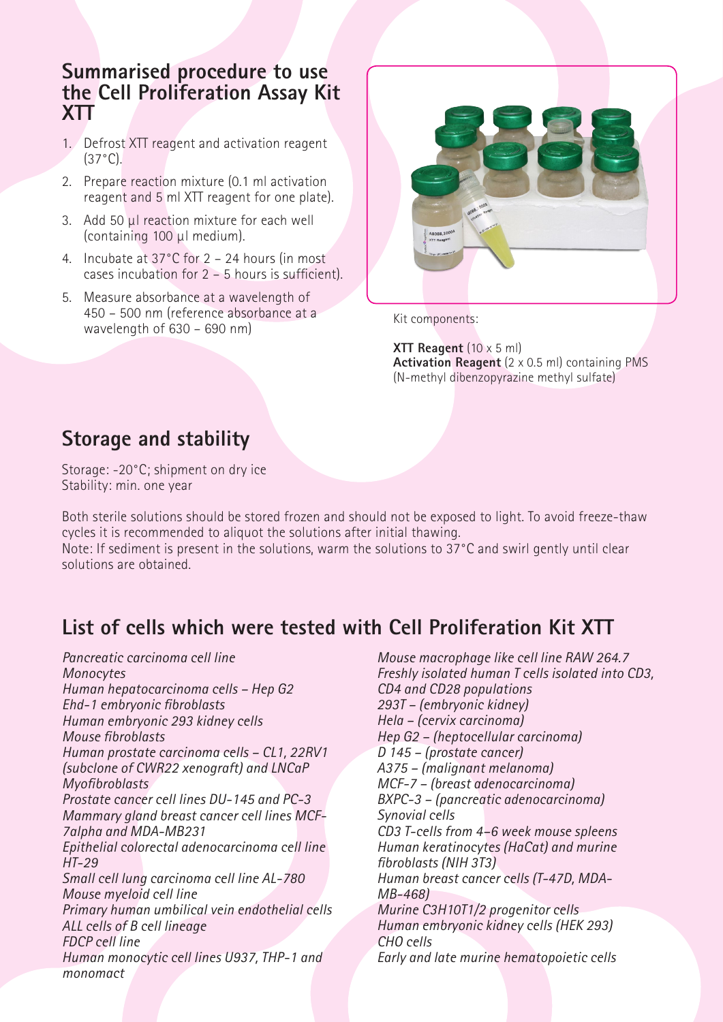#### **Summarised procedure to use the Cell Proliferation Assay Kit XTT**

- 1. Defrost XTT reagent and activation reagent  $(37°C)$ .
- 2. Prepare reaction mixture (0.1 ml activation reagent and 5 ml XTT reagent for one plate).
- 3. Add 50 µl reaction mixture for each well (containing 100 µl medium).
- 4. Incubate at 37°C for 2 24 hours (in most cases incubation for 2 – 5 hours is sufficient).
- 5. Measure absorbance at a wavelength of 450 – 500 nm (reference absorbance at a wavelength of 630 – 690 nm)



Kit components:

**XTT Reagent** (10 x 5 ml) **Activation Reagent** (2 x 0.5 ml) containing PMS (N-methyl dibenzopyrazine methyl sulfate)

### **Storage and stability**

Storage: -20°C; shipment on dry ice Stability: min. one year

Both sterile solutions should be stored frozen and should not be exposed to light. To avoid freeze-thaw cycles it is recommended to aliquot the solutions after initial thawing. Note: If sediment is present in the solutions, warm the solutions to 37°C and swirl gently until clear solutions are obtained.

# **List of cells which were tested with Cell Proliferation Kit XTT**

*Pancreatic carcinoma cell line Monocytes Human hepatocarcinoma cells – Hep G2 Ehd-1 embryonic fibroblasts Human embryonic 293 kidney cells Mouse fibroblasts Human prostate carcinoma cells – CL1, 22RV1 (subclone of CWR22 xenograft) and LNCaP Myofibroblasts Prostate cancer cell lines DU-145 and PC-3 Mammary gland breast cancer cell lines MCF-7alpha and MDA-MB231 Epithelial colorectal adenocarcinoma cell line HT-29 Small cell lung carcinoma cell line AL-780 Mouse myeloid cell line Primary human umbilical vein endothelial cells ALL cells of B cell lineage FDCP cell line Human monocytic cell lines U937, THP-1 and monomact*

*Mouse macrophage like cell line RAW 264.7 Freshly isolated human T cells isolated into CD3, CD4 and CD28 populations 293T – (embryonic kidney) Hela – (cervix carcinoma) Hep G2 – (heptocellular carcinoma) D 145 – (prostate cancer) A375 – (malignant melanoma) MCF-7 – (breast adenocarcinoma) BXPC-3 – (pancreatic adenocarcinoma) Synovial cells CD3 T-cells from 4–6 week mouse spleens Human keratinocytes (HaCat) and murine fibroblasts (NIH 3T3) Human breast cancer cells (T-47D, MDA-MB-468) Murine C3H10T1/2 progenitor cells Human embryonic kidney cells (HEK 293) CHO cells Early and late murine hematopoietic cells*